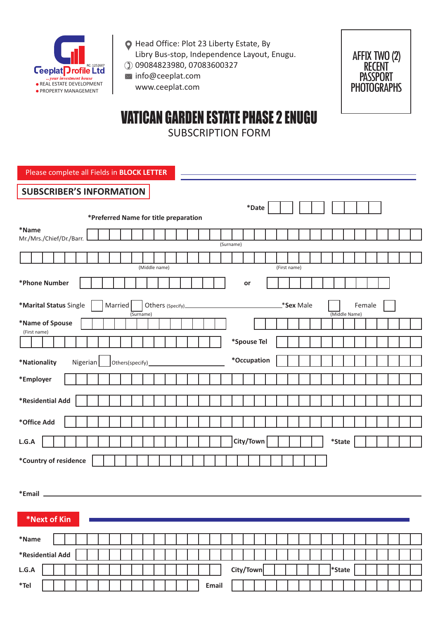

- Head Office: Plot 23 Liberty Estate, By Libry Bus-stop, Independence Layout, Enugu.
- 09084823980, 07083600327  $\bowtie$  info@ceeplat.com
	- www.ceeplat.com



# VATICAN GARDEN ESTATE PHASE 2 ENUGU SUBSCRIPTION FORM

Please complete all Fields in **BLOCK LETTER**

| <b>SUBSCRIBER'S INFORMATION</b>                                                                                                                                                                                                                                           |
|---------------------------------------------------------------------------------------------------------------------------------------------------------------------------------------------------------------------------------------------------------------------------|
| $^\ast$ Date                                                                                                                                                                                                                                                              |
| *Preferred Name for title preparation                                                                                                                                                                                                                                     |
| *Name<br>Mr./Mrs./Chief/Dr./Barr.<br>(Surname)                                                                                                                                                                                                                            |
|                                                                                                                                                                                                                                                                           |
| (Middle name)<br>(First name)                                                                                                                                                                                                                                             |
| *Phone Number<br>or                                                                                                                                                                                                                                                       |
| *Marital Status Single<br><b>Married</b><br>Sex Male<br>Female<br>(Middle Name)<br>(Surname)                                                                                                                                                                              |
| *Name of Spouse                                                                                                                                                                                                                                                           |
| (First name)                                                                                                                                                                                                                                                              |
| *Spouse Tel                                                                                                                                                                                                                                                               |
| *Occupation<br>Nigerian<br>*Nationality<br>Others(specify) example and the state of the state of the state of the state of the state of the state of the state of the state of the state of the state of the state of the state of the state of the state of the state of |
| *Employer                                                                                                                                                                                                                                                                 |
|                                                                                                                                                                                                                                                                           |
| *Residential Add                                                                                                                                                                                                                                                          |
| *Office Add                                                                                                                                                                                                                                                               |
| City/Town<br>$\displaystyle{^\ast\text{State}}$<br>L.G.A                                                                                                                                                                                                                  |
| *Country of residence                                                                                                                                                                                                                                                     |
| *Email                                                                                                                                                                                                                                                                    |
|                                                                                                                                                                                                                                                                           |
| *Next of Kin                                                                                                                                                                                                                                                              |
| $^{\ast}$ Name                                                                                                                                                                                                                                                            |
| *Residential Add                                                                                                                                                                                                                                                          |
| City/Town<br>L.G.A<br>*State                                                                                                                                                                                                                                              |
| Email<br>$*$ Tel                                                                                                                                                                                                                                                          |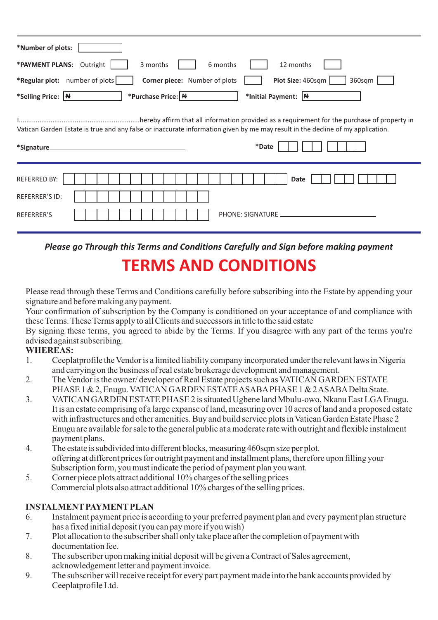| *Number of plots:                                                                                                                                      |
|--------------------------------------------------------------------------------------------------------------------------------------------------------|
| *PAYMENT PLANS: Outright<br>6 months<br>3 months<br>12 months                                                                                          |
| *Regular plot: number of plots<br>Plot Size: 460sqm<br>Corner piece: Number of plots<br>360sqm                                                         |
| *Selling Price: N<br>*Purchase Price: N<br>*Initial Payment: $ \mathbf{H} $                                                                            |
| Vatican Garden Estate is true and any false or inaccurate information given by me may result in the decline of my application.<br>*Date<br>*Signature_ |
| <b>REFERRED BY:</b><br><b>Date</b>                                                                                                                     |
| <b>REFERRER'S ID:</b>                                                                                                                                  |
| REFERRER'S<br>PHONE: SIGNATURE                                                                                                                         |

*Please go Through this Terms and Conditions Carefully and Sign before making payment*  **TERMS AND CONDITIONS**

Please read through these Terms and Conditions carefully before subscribing into the Estate by appending your signature and before making any payment.

Your confirmation of subscription by the Company is conditioned on your acceptance of and compliance with these Terms. These Terms apply to all Clients and successors in title to the said estate

By signing these terms, you agreed to abide by the Terms. If you disagree with any part of the terms you're advised against subscribing.

### **WHEREAS:**

- 1. Ceeplatprofile the Vendor is a limited liability company incorporated under the relevant laws in Nigeria and carrying on the business of real estate brokerage development and management.
- 2. The Vendor is the owner/ developer of Real Estate projects such as VATICAN GARDEN ESTATE PHASE 1 & 2, Enugu. VATICAN GARDEN ESTATE ASABAPHASE 1 & 2 ASABADelta State.
- 3. VATICAN GARDEN ESTATE PHASE 2 is situated Ugbene land Mbulu-owo, Nkanu East LGAEnugu. It is an estate comprising of a large expanse of land, measuring over 10 acres of land and a proposed estate with infrastructures and other amenities. Buy and build service plots in Vatican Garden Estate Phase 2 Enugu are available for sale to the general public at a moderate rate with outright and flexible instalment payment plans.
- 4. The estate is subdivided into different blocks, measuring 460sqm size per plot. offering at different prices for outright payment and installment plans, therefore upon filling your Subscription form, you must indicate the period of payment plan you want.
- 5. Corner piece plots attract additional 10% charges of the selling prices Commercial plots also attract additional 10% charges of the selling prices.

# **INSTALMENTPAYMENTPLAN**

- 6. Instalment payment price is according to your preferred payment plan and every payment plan structure has a fixed initial deposit (you can pay more if you wish)
- 7. Plot allocation to the subscriber shall only take place after the completion of payment with documentation fee.
- 8. The subscriber upon making initial deposit will be given a Contract of Sales agreement, acknowledgement letter and payment invoice.
- 9. The subscriber will receive receipt for every part payment made into the bank accounts provided by Ceeplatprofile Ltd.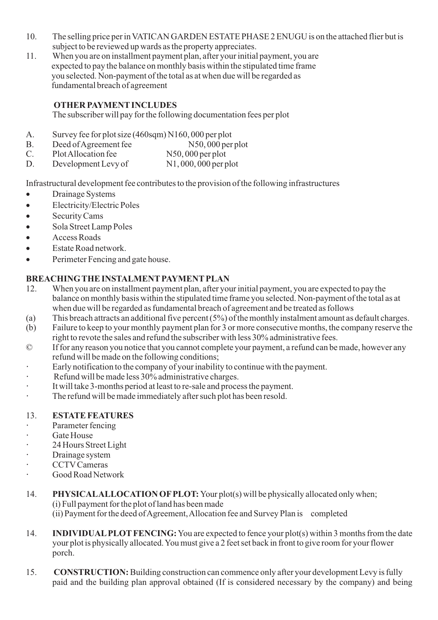- 10. The selling price per in VATICAN GARDEN ESTATE PHASE 2 ENUGU is on the attached flier but is subject to be reviewed up wards as the property appreciates.
- 11. When you are on installment payment plan, after your initial payment, you are expected to pay the balance on monthly basis within the stipulated time frame you selected. Non-payment of the total as at when due will be regarded as fundamental breach of agreement

## **OTHER PAYMENTINCLUDES**

The subscriber will pay for the following documentation fees per plot

- A. Survey fee for plot size (460sqm) N160, 000 per plot
- B. Deed of Agreement fee N50, 000 per plot<br>C. Plot Allocation fee N50, 000 per plot
- C. Plot Allocation fee
- D. Development Levy of N1, 000, 000 per plot

Infrastructural development fee contributes to the provision of the following infrastructures <br>• Drainage Systems

- 
- Drainage Systems<br>• Electricity/Electri • Electricity/Electric Poles<br>• Security Cams
- 
- Security Cams<br>• Sola Street Lan • Sola Street Lamp Poles<br>• Access Roads
- 
- Access Roads<br>• Estate Road network
- ·Estate Road network. Perimeter Fencing and gate house.

# **BREACHING THE INSTALMENTPAYMENTPLAN**

- 12. When you are on installment payment plan, after your initial payment, you are expected to pay the balance on monthly basis within the stipulated time frame you selected. Non-payment of the total as at when due will be regarded as fundamental breach of agreement and be treated as follows
- (a) This breach attracts an additional five percent (5%) of the monthly instalment amount as default charges.
- (b) Failure to keep to your monthly payment plan for 3 or more consecutive months, the company reserve the right to revote the sales and refund the subscriber with less 30% administrative fees.
- © If for any reason you notice that you cannot complete your payment, a refund can be made, however any refund will be made on the following conditions;
- **·** Early notification to the company of your inability to continue with the payment.
- **·** Refund will be made less 30% administrative charges.
- **·** It will take 3-months period at least to re-sale and process the payment.
- **·** The refund will be made immediately after such plot has been resold.

#### 13. **ESTATE FEATURES**

- **·** Parameter fencing
- **·** Gate House
- **·** 24 Hours Street Light
- **·** Drainage system
- **·** CCTVCameras
- **·** Good Road Network
- 14. **PHYSICALALLOCATION OFPLOT:** Your plot(s) will be physically allocated only when; (i) Full payment for the plot of land has been made (ii) Payment for the deed of Agreement, Allocation fee and Survey Plan is completed
- 14. **INDIVIDUAL PLOT FENCING:** You are expected to fence your plot(s) within 3 months from the date your plot is physically allocated. You must give a 2 feet set back in front to give room for your flower porch.
- 15. **CONSTRUCTION:**Building construction can commence only after your development Levy is fully paid and the building plan approval obtained (If is considered necessary by the company) and being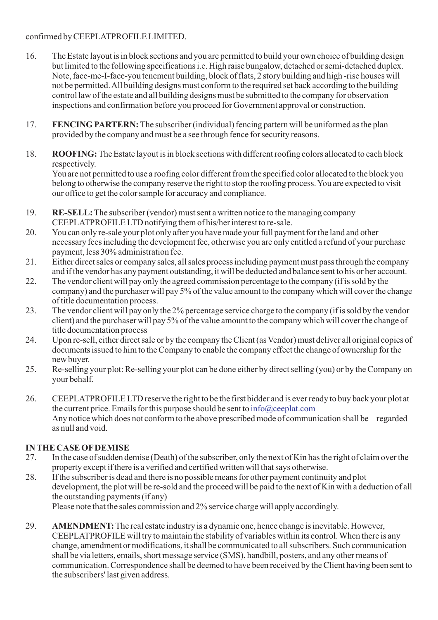### confirmed by CEEPLATPROFILE LIMITED.

- 16. The Estate layout is in block sections and you are permitted to build your own choice of building design but limited to the following specifications i.e. High raise bungalow, detached or semi-detached duplex. Note, face-me-I-face-you tenement building, block of flats, 2 story building and high -rise houses will not be permitted. All building designs must conform to the required set back according to the building control law of the estate and all building designs must be submitted to the company for observation inspections and confirmation before you proceed for Government approval or construction.
- 17. **FENCING PARTERN:** The subscriber (individual) fencing pattern will be uniformed as the plan provided by the company and must be a see through fence for security reasons.
- 18. **ROOFING:** The Estate layout is in block sections with different roofing colors allocated to each block respectively.

You are not permitted to use a roofing color different from the specified color allocated to the block you belong to otherwise the company reserve the right to stop the roofing process. You are expected to visit our office to get the color sample for accuracy and compliance.

- 19. **RE-SELL:**The subscriber (vendor) must sent a written notice to the managing company CEEPLATPROFILE LTD notifying them of his/her interest to re-sale.
- 20. You can only re-sale your plot only after you have made your full payment for the land and other necessary fees including the development fee, otherwise you are only entitled a refund of your purchase payment, less 30% administration fee.
- 21. Either direct sales or company sales, all sales process including payment must pass through the company and if the vendor has any payment outstanding, it will be deducted and balance sent to his or her account.
- 22. The vendor client will pay only the agreed commission percentage to the company (if is sold by the company) and the purchaser will pay 5% of the value amount to the company which will cover the change of title documentation process.
- 23. The vendor client will pay only the 2% percentage service charge to the company (if is sold by the vendor client) and the purchaser will pay 5% of the value amount to the company which will cover the change of title documentation process
- 24. Upon re-sell, either direct sale or by the company the Client (as Vendor) must deliver all original copies of documents issued to him to the Company to enable the company effect the change of ownership for the new buyer.
- 25. Re-selling your plot: Re-selling your plot can be done either by direct selling (you) or by the Company on your behalf.
- 26. CEEPLATPROFILE LTD reserve the right to be the first bidder and is ever ready to buy back your plot at the current price. Emails for this purpose should be sent to info@ceeplat.comAny notice which does not conform to the above prescribed mode of communication shall be regarded as null and void.

# **IN THE CASE OFDEMISE**

- 27. In the case of sudden demise (Death) of the subscriber, only the next of Kin has the right of claim over the property except if there is a verified and certified written will that says otherwise.
- 28. If the subscriber is dead and there is no possible means for other payment continuity and plot development, the plot will be re-sold and the proceed will be paid to the next of Kin with a deduction of all the outstanding payments (if any)

Please note that the sales commission and 2% service charge will apply accordingly.

29. **AMENDMENT:**The real estate industry is a dynamic one, hence change is inevitable. However, CEEPLATPROFILE will try to maintain the stability of variables within its control. When there is any change, amendment or modifications, it shall be communicated to all subscribers. Such communication shall be via letters, emails, short message service (SMS), handbill, posters, and any other means of communication. Correspondence shall be deemed to have been received by the Client having been sent to the subscribers' last given address.